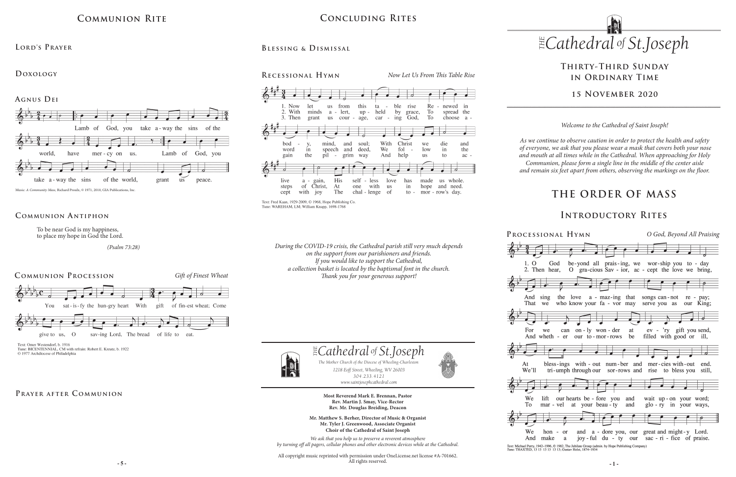



# **THE ORDER OF MASS**

# **Thirty-Third Sunday in Ordinary Time**

## **15 November 2020**

# **Communion Rite**

Lamb of God, you

mer-cy on

us.

take a-way the sins of the

grant

Lamb of God, you

peace.

 $\mathbf{u}\mathbf{s}$ 

## **Lord's Prayer**

## **Doxology**

**Agnus Dei**

world,

Music: *A Community Mass,* Richard Proulx, © 1971, 2010, GIA Publications, Inc.

have

To be near God is my happiness, to place my hope in God the Lord.

 *(Psalm 73:28)*

of the world,

**Communion A ntiphon** 

take a-way the sins



Text: Omer Westendorf, b. 1916 Tune: BICENTENNIAL, CM with refrain: Robert E. Kreutz, b. 1922 © 1977 Archdiocese of Philadelphia

## PRAYER AFTER COMMUNION

# **Concluding Rites**





Text: Fred Kaan, 1929-2009, @ 1968, Hope Publishing Co. Tune: WAREHAM, LM; William Knapp, 1698-1768

> *1218 Eoff Street, Wheeling, WV 26003 304.233.4121 304.233.4121*

> > *www.saintjosephcathedral.com*

*www.saintjosephcathedral.com*

 *Cathedral St THE of .Joseph*

**Most Reverend Mark E. Brennan, Pastor Rev. Martin J. Smay, Vice-Rector Rev. Mr. Douglas Breiding, Deacon Mr. Matthew S. Berher, Director of Music & Organist Mr. Tyler J. Greenwood, Associate Organist Choir of the Cathedral of Saint Joseph** *We ask that you help us to preserve a reverent atmosphere by turning off all pagers, cellular phones and other electronic devices while at the Cathedral.*

All copyright music reprinted with permission under OneLicense.net license #A-701662.

**of** *.*Joseph **.**<br> *oneling*-Charleston<br> *v* 26003

PROCESS

 $1.0$ 

*1218 Eoff Street, Wheeling, WV 26003 The Mother Church of the Diocese of Wheeling-Charleston*

#### All rights reserved.

The Mother Church of the Diocese of Wheeling-Charlest<br>1218 Eoff Street, Wheeling, WV 26003

# **Introductory Rites**

| ional Hymn                                                                                                                                                                                                                  | O God, Beyond All Praising                                                                      |
|-----------------------------------------------------------------------------------------------------------------------------------------------------------------------------------------------------------------------------|-------------------------------------------------------------------------------------------------|
| $\frac{1}{2}$ , $\frac{1}{2}$ , $\frac{1}{2}$ , $\frac{1}{2}$ , $\frac{1}{2}$ , $\frac{1}{2}$ , $\frac{1}{2}$<br>God be-yond all prais-ing, we wor-ship you to - day                                                        |                                                                                                 |
| en hear, O gra-cious Sav - ior, ac - cept the love we bring,                                                                                                                                                                |                                                                                                 |
| sing the love a - maz-ing that<br>who know your fa - vor may serve you as<br>we                                                                                                                                             | songs can-not re - pay;<br>our King;                                                            |
| $\overrightarrow{a}$ , $\overrightarrow{a}$ , $\overrightarrow{a}$ , $\overrightarrow{a}$ , $\overrightarrow{a}$ , $\overrightarrow{a}$<br>we can on-ly won-der at ev - 'ry gift you send,<br>wheth - er our to-mor-rows be | filled with good or ill,                                                                        |
| bless-ings with - out num-ber and mer-cies with-out end.<br>tri-umph through our sor-rows and rise to bless you                                                                                                             | still.                                                                                          |
| $\frac{1}{2}$ $\frac{1}{2}$ $\frac{1}{2}$ $\frac{1}{2}$ $\frac{1}{2}$ $\frac{1}{2}$ $\frac{1}{2}$ $\frac{1}{2}$ $\frac{1}{2}$ $\frac{1}{2}$                                                                                 |                                                                                                 |
| lift our hearts be - fore you and wait up - on your word;<br>mar - vel at your beau - ty and glo - ry in your ways,                                                                                                         |                                                                                                 |
| hon - or<br>make a                                                                                                                                                                                                          | and a - dore you, our great and might-y Lord.<br>joy-ful du - ty our sac - ri - fice of praise. |

Text: Michael Perry, 1942-1996, © 1982, The Jubilate Group (admin. by Hope Publishing Company Tune: THAXTED, 13 13 13 13 13 13; Gustav Holst, 1874-1934

*Welcome to the Cathedral of Saint Joseph!*

*As we continue to observe caution in order to protect the health and safety of everyone, we ask that you please wear a mask that covers both your nose and mouth at all times while in the Cathedral. When approaching for Holy Communion, please form a single line in the middle of the center aisle and remain six feet apart from others, observing the markings on the floor.* 

*During the COVID-19 crisis, the Cathedral parish still very much depends on the support from our parishioners and friends. If you would like to support the Cathedral, a collection basket is located by the baptismal font in the church. Thank you for your generous support!*



At We'll



We And